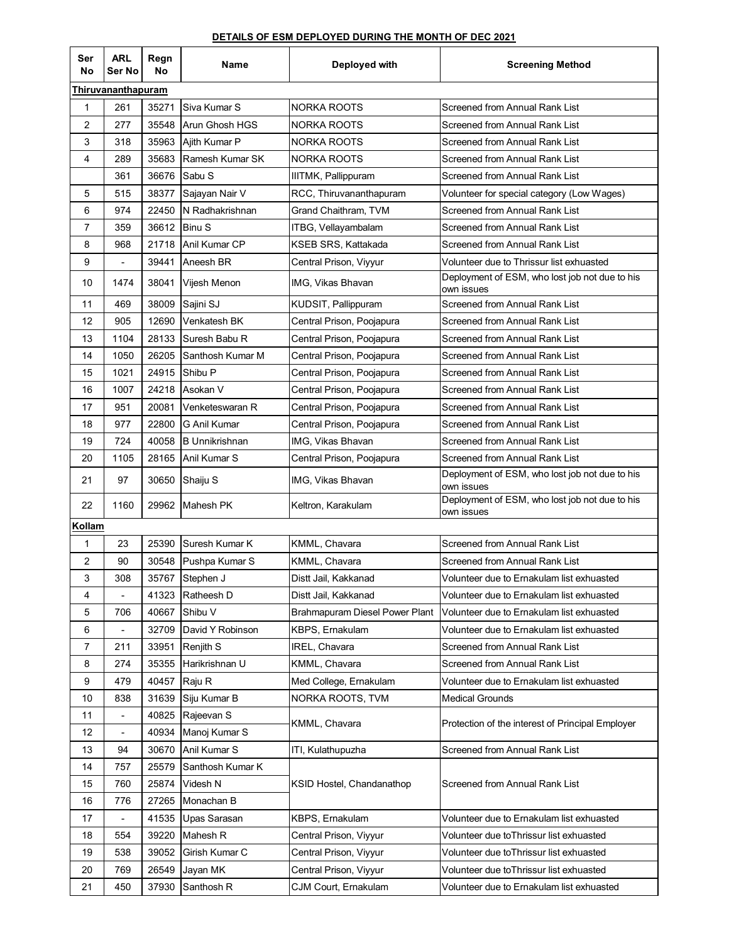## **DETAILS OF ESM DEPLOYED DURING THE MONTH OF DEC 2021**

| Ser<br>No          | <b>ARL</b><br>Ser No         | Regn<br>No | Name                  | Deployed with                  | <b>Screening Method</b>                                      |  |  |  |
|--------------------|------------------------------|------------|-----------------------|--------------------------------|--------------------------------------------------------------|--|--|--|
| Thiruvananthapuram |                              |            |                       |                                |                                                              |  |  |  |
| 1                  | 261                          | 35271      | Siva Kumar S          | <b>NORKA ROOTS</b>             | Screened from Annual Rank List                               |  |  |  |
| $\overline{2}$     | 277                          | 35548      | Arun Ghosh HGS        | <b>NORKA ROOTS</b>             | Screened from Annual Rank List                               |  |  |  |
| 3                  | 318                          | 35963      | Ajith Kumar P         | NORKA ROOTS                    | Screened from Annual Rank List                               |  |  |  |
| 4                  | 289                          | 35683      | Ramesh Kumar SK       | <b>NORKA ROOTS</b>             | Screened from Annual Rank List                               |  |  |  |
|                    | 361                          | 36676      | <b>Sabu S</b>         | IIITMK, Pallippuram            | Screened from Annual Rank List                               |  |  |  |
| 5                  | 515                          | 38377      | Sajayan Nair V        | RCC, Thiruvananthapuram        | Volunteer for special category (Low Wages)                   |  |  |  |
| 6                  | 974                          | 22450      | N Radhakrishnan       | Grand Chaithram, TVM           | Screened from Annual Rank List                               |  |  |  |
| $\overline{7}$     | 359                          | 36612      | <b>Binu S</b>         | ITBG, Vellayambalam            | Screened from Annual Rank List                               |  |  |  |
| 8                  | 968                          | 21718      | Anil Kumar CP         | KSEB SRS, Kattakada            | Screened from Annual Rank List                               |  |  |  |
| 9                  |                              | 39441      | Aneesh BR             | Central Prison, Viyyur         | Volunteer due to Thrissur list exhuasted                     |  |  |  |
| 10                 | 1474                         | 38041      | Vijesh Menon          | IMG, Vikas Bhavan              | Deployment of ESM, who lost job not due to his<br>own issues |  |  |  |
| 11                 | 469                          | 38009      | Sajini SJ             | KUDSIT, Pallippuram            | Screened from Annual Rank List                               |  |  |  |
| 12                 | 905                          | 12690      | Venkatesh BK          | Central Prison, Poojapura      | Screened from Annual Rank List                               |  |  |  |
| 13                 | 1104                         | 28133      | Suresh Babu R         | Central Prison, Poojapura      | Screened from Annual Rank List                               |  |  |  |
| 14                 | 1050                         | 26205      | Santhosh Kumar M      | Central Prison, Poojapura      | Screened from Annual Rank List                               |  |  |  |
| 15                 | 1021                         | 24915      | Shibu P               | Central Prison, Poojapura      | Screened from Annual Rank List                               |  |  |  |
| 16                 | 1007                         | 24218      | Asokan V              | Central Prison, Poojapura      | Screened from Annual Rank List                               |  |  |  |
| 17                 | 951                          | 20081      | Venketeswaran R       | Central Prison, Poojapura      | Screened from Annual Rank List                               |  |  |  |
| 18                 | 977                          | 22800      | G Anil Kumar          | Central Prison, Poojapura      | Screened from Annual Rank List                               |  |  |  |
| 19                 | 724                          | 40058      | <b>B</b> Unnikrishnan | IMG, Vikas Bhavan              | Screened from Annual Rank List                               |  |  |  |
| 20                 | 1105                         | 28165      | Anil Kumar S          | Central Prison, Poojapura      | Screened from Annual Rank List                               |  |  |  |
| 21                 | 97                           | 30650      | Shaiju S              | IMG, Vikas Bhavan              | Deployment of ESM, who lost job not due to his<br>own issues |  |  |  |
| 22                 | 1160                         |            | 29962 Mahesh PK       | Keltron, Karakulam             | Deployment of ESM, who lost job not due to his<br>own issues |  |  |  |
| Kollam             |                              |            |                       |                                |                                                              |  |  |  |
| $\mathbf{1}$       | 23                           | 25390      | Suresh Kumar K        | KMML, Chavara                  | Screened from Annual Rank List                               |  |  |  |
| $\overline{2}$     | 90                           | 30548      | Pushpa Kumar S        | KMML, Chavara                  | Screened from Annual Rank List                               |  |  |  |
| 3                  | 308                          |            | 35767 Stephen J       | Distt Jail, Kakkanad           | Volunteer due to Ernakulam list exhuasted                    |  |  |  |
| 4                  | $\overline{a}$               | 41323      | Ratheesh D            | Distt Jail, Kakkanad           | Volunteer due to Ernakulam list exhuasted                    |  |  |  |
| 5                  | 706                          | 40667      | Shibu V               | Brahmapuram Diesel Power Plant | Volunteer due to Ernakulam list exhuasted                    |  |  |  |
| 6                  | $\overline{a}$               | 32709      | David Y Robinson      | KBPS, Ernakulam                | Volunteer due to Ernakulam list exhuasted                    |  |  |  |
| $\overline{7}$     | 211                          | 33951      | Renjith S             | IREL, Chavara                  | Screened from Annual Rank List                               |  |  |  |
| 8                  | 274                          | 35355      | Harikrishnan U        | KMML, Chavara                  | Screened from Annual Rank List                               |  |  |  |
| 9                  | 479                          | 40457      | Raju R                | Med College, Ernakulam         | Volunteer due to Ernakulam list exhuasted                    |  |  |  |
| 10                 | 838                          | 31639      | Siju Kumar B          | NORKA ROOTS, TVM               | <b>Medical Grounds</b>                                       |  |  |  |
| 11                 | $\qquad \qquad \blacksquare$ | 40825      | Rajeevan S            | KMML, Chavara                  | Protection of the interest of Principal Employer             |  |  |  |
| 12                 | $\blacksquare$               | 40934      | Manoj Kumar S         |                                |                                                              |  |  |  |
| 13                 | 94                           | 30670      | Anil Kumar S          | ITI, Kulathupuzha              | Screened from Annual Rank List                               |  |  |  |
| 14                 | 757                          | 25579      | Santhosh Kumar K      |                                |                                                              |  |  |  |
| 15                 | 760                          | 25874      | Videsh N              | KSID Hostel, Chandanathop      | Screened from Annual Rank List                               |  |  |  |
| 16                 | 776                          | 27265      | Monachan B            |                                |                                                              |  |  |  |
| 17                 | $\blacksquare$               | 41535      | Upas Sarasan          | KBPS, Ernakulam                | Volunteer due to Ernakulam list exhuasted                    |  |  |  |
| 18                 | 554                          | 39220      | Mahesh R              | Central Prison, Viyyur         | Volunteer due toThrissur list exhuasted                      |  |  |  |
| 19                 | 538                          | 39052      | Girish Kumar C        | Central Prison, Viyyur         | Volunteer due toThrissur list exhuasted                      |  |  |  |
| 20                 | 769                          | 26549      | Jayan MK              | Central Prison, Viyyur         | Volunteer due toThrissur list exhuasted                      |  |  |  |
| 21                 | 450                          | 37930      | Santhosh R            | CJM Court, Ernakulam           | Volunteer due to Ernakulam list exhuasted                    |  |  |  |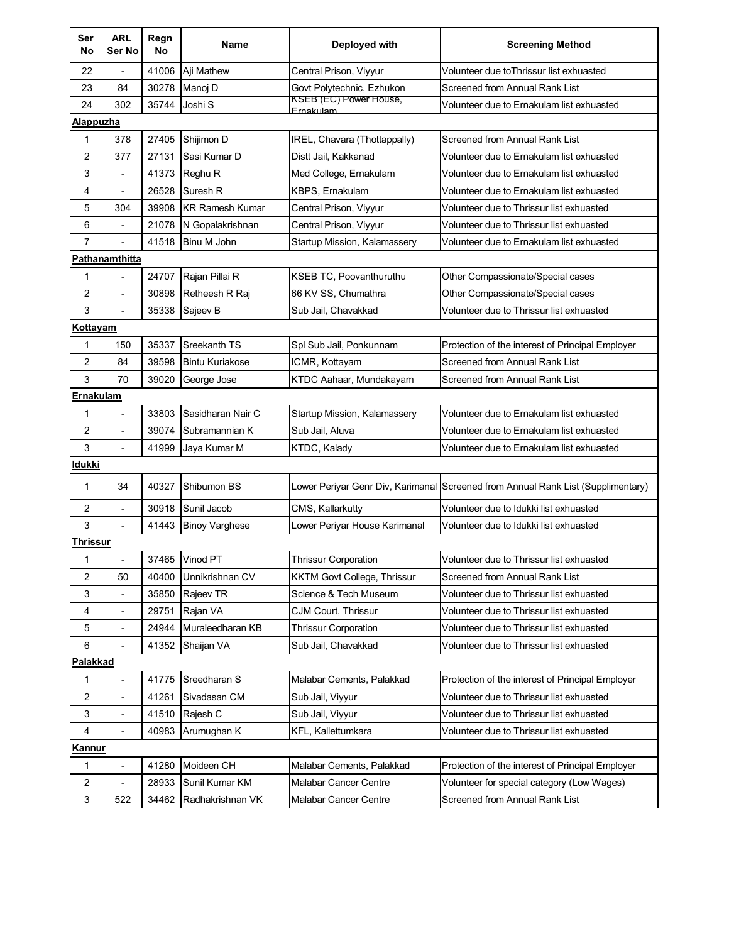| Ser<br>No        | <b>ARL</b><br>Ser No     | Regn<br>No | Name                   | Deployed with                                    | <b>Screening Method</b>                                                            |  |  |
|------------------|--------------------------|------------|------------------------|--------------------------------------------------|------------------------------------------------------------------------------------|--|--|
| 22               |                          | 41006      | Aji Mathew             | Central Prison, Viyyur                           | Volunteer due toThrissur list exhuasted                                            |  |  |
| 23               | 84                       | 30278      | Manoj D                | Govt Polytechnic, Ezhukon                        | Screened from Annual Rank List                                                     |  |  |
| 24               | 302                      | 35744      | Joshi S                | <b>KSEB</b> (EC) Power House,<br><b>Emakulam</b> | Volunteer due to Ernakulam list exhuasted                                          |  |  |
| <u>Alappuzha</u> |                          |            |                        |                                                  |                                                                                    |  |  |
| 1                | 378                      | 27405      | Shijimon D             | IREL, Chavara (Thottappally)                     | Screened from Annual Rank List                                                     |  |  |
| 2                | 377                      | 27131      | Sasi Kumar D           | Distt Jail, Kakkanad                             | Volunteer due to Ernakulam list exhuasted                                          |  |  |
| 3                | $\blacksquare$           | 41373      | Reghu R                | Med College, Ernakulam                           | Volunteer due to Ernakulam list exhuasted                                          |  |  |
| 4                | $\overline{\phantom{a}}$ | 26528      | Suresh R               | <b>KBPS.</b> Ernakulam                           | Volunteer due to Ernakulam list exhuasted                                          |  |  |
| 5                | 304                      | 39908      | <b>KR Ramesh Kumar</b> | Central Prison, Viyyur                           | Volunteer due to Thrissur list exhuasted                                           |  |  |
| 6                |                          | 21078      | N Gopalakrishnan       | Central Prison, Viyyur                           | Volunteer due to Thrissur list exhuasted                                           |  |  |
| $\overline{7}$   |                          | 41518      | Binu M John            | Startup Mission, Kalamassery                     | Volunteer due to Ernakulam list exhuasted                                          |  |  |
|                  | Pathanamthitta           |            |                        |                                                  |                                                                                    |  |  |
| 1                |                          | 24707      | Rajan Pillai R         | <b>KSEB TC, Poovanthuruthu</b>                   | Other Compassionate/Special cases                                                  |  |  |
| 2                | ä,                       | 30898      | Retheesh R Raj         | 66 KV SS, Chumathra                              | Other Compassionate/Special cases                                                  |  |  |
| 3                | $\overline{\phantom{a}}$ | 35338      | Sajeev B               | Sub Jail, Chavakkad                              | Volunteer due to Thrissur list exhuasted                                           |  |  |
| Kottayam         |                          |            |                        |                                                  |                                                                                    |  |  |
| 1                | 150                      | 35337      | Sreekanth TS           | Spl Sub Jail, Ponkunnam                          | Protection of the interest of Principal Employer                                   |  |  |
| 2                | 84                       | 39598      | <b>Bintu Kuriakose</b> | ICMR, Kottayam                                   | Screened from Annual Rank List                                                     |  |  |
| 3                | 70                       | 39020      | George Jose            | KTDC Aahaar, Mundakayam                          | Screened from Annual Rank List                                                     |  |  |
| Ernakulam        |                          |            |                        |                                                  |                                                                                    |  |  |
| $\mathbf{1}$     | ÷,                       | 33803      | Sasidharan Nair C      | Startup Mission, Kalamassery                     | Volunteer due to Ernakulam list exhuasted                                          |  |  |
| 2                | $\overline{\phantom{a}}$ | 39074      | Subramannian K         | Sub Jail, Aluva                                  | Volunteer due to Ernakulam list exhuasted                                          |  |  |
| 3                | $\frac{1}{2}$            | 41999      | Jaya Kumar M           | <b>KTDC, Kalady</b>                              | Volunteer due to Ernakulam list exhuasted                                          |  |  |
| Idukki           |                          |            |                        |                                                  |                                                                                    |  |  |
| 1                | 34                       | 40327      | Shibumon BS            |                                                  | Lower Periyar Genr Div, Karimanal   Screened from Annual Rank List (Supplimentary) |  |  |
| 2                | ٠                        | 30918      | Sunil Jacob            | CMS, Kallarkutty                                 | Volunteer due to Idukki list exhuasted                                             |  |  |
| 3                |                          | 41443      | <b>Binoy Varghese</b>  | Lower Periyar House Karimanal                    | Volunteer due to Idukki list exhuasted                                             |  |  |
| <u>Thrissur</u>  |                          |            |                        |                                                  |                                                                                    |  |  |
| 1                |                          |            | 37465 Vinod PT         | <b>Thrissur Corporation</b>                      | Volunteer due to Thrissur list exhuasted                                           |  |  |
| 2                | 50                       | 40400      | Unnikrishnan CV        | <b>KKTM Govt College, Thrissur</b>               | Screened from Annual Rank List                                                     |  |  |
| 3                | $\overline{\phantom{a}}$ | 35850      | Rajeev TR              | Science & Tech Museum                            | Volunteer due to Thrissur list exhuasted                                           |  |  |
| 4                | $\overline{\phantom{0}}$ | 29751      | Rajan VA               | CJM Court, Thrissur                              | Volunteer due to Thrissur list exhuasted                                           |  |  |
| 5                |                          | 24944      | Muraleedharan KB       | <b>Thrissur Corporation</b>                      | Volunteer due to Thrissur list exhuasted                                           |  |  |
| 6                | $\blacksquare$           | 41352      | Shaijan VA             | Sub Jail, Chavakkad                              | Volunteer due to Thrissur list exhuasted                                           |  |  |
| Palakkad         |                          |            |                        |                                                  |                                                                                    |  |  |
| 1                | $\overline{\phantom{a}}$ | 41775      | Sreedharan S           | Malabar Cements, Palakkad                        | Protection of the interest of Principal Employer                                   |  |  |
| $\overline{c}$   | $\overline{\phantom{0}}$ | 41261      | Sivadasan CM           | Sub Jail, Viyyur                                 | Volunteer due to Thrissur list exhuasted                                           |  |  |
| 3                | $\overline{\phantom{0}}$ | 41510      | Rajesh C               | Sub Jail, Viyyur                                 | Volunteer due to Thrissur list exhuasted                                           |  |  |
| 4                | $\blacksquare$           | 40983      | Arumughan K            | KFL, Kallettumkara                               | Volunteer due to Thrissur list exhuasted                                           |  |  |
| <b>Kannur</b>    |                          |            |                        |                                                  |                                                                                    |  |  |
| 1                | $\overline{\phantom{a}}$ | 41280      | Moideen CH             | Malabar Cements, Palakkad                        | Protection of the interest of Principal Employer                                   |  |  |
| 2                |                          | 28933      | Sunil Kumar KM         | <b>Malabar Cancer Centre</b>                     | Volunteer for special category (Low Wages)                                         |  |  |
| 3                | 522                      | 34462      | Radhakrishnan VK       | <b>Malabar Cancer Centre</b>                     | Screened from Annual Rank List                                                     |  |  |